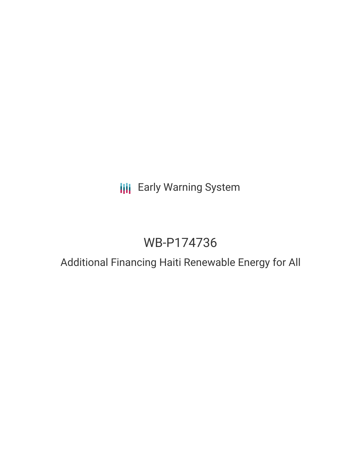# **III** Early Warning System

# WB-P174736

## Additional Financing Haiti Renewable Energy for All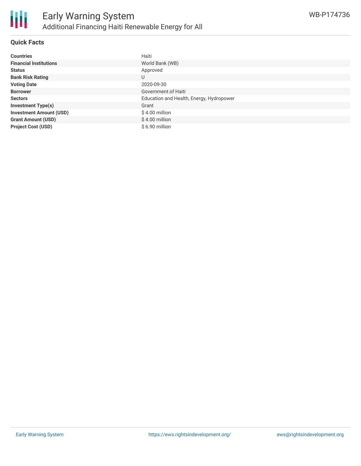

## **Quick Facts**

| <b>Countries</b>               | Haiti                                    |
|--------------------------------|------------------------------------------|
| <b>Financial Institutions</b>  | World Bank (WB)                          |
| <b>Status</b>                  | Approved                                 |
| <b>Bank Risk Rating</b>        | U                                        |
| <b>Voting Date</b>             | 2020-09-30                               |
| <b>Borrower</b>                | Government of Haiti                      |
| <b>Sectors</b>                 | Education and Health, Energy, Hydropower |
| <b>Investment Type(s)</b>      | Grant                                    |
| <b>Investment Amount (USD)</b> | $$4.00$ million                          |
| <b>Grant Amount (USD)</b>      | $$4.00$ million                          |
| <b>Project Cost (USD)</b>      | \$6.90 million                           |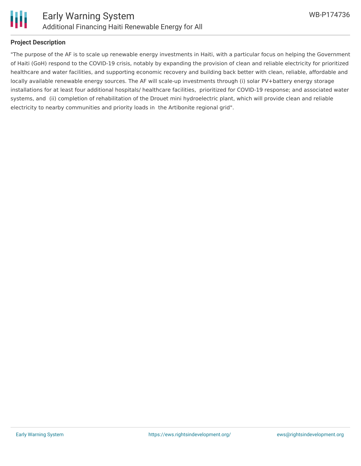

## **Project Description**

"The purpose of the AF is to scale up renewable energy investments in Haiti, with a particular focus on helping the Government of Haiti (GoH) respond to the COVID-19 crisis, notably by expanding the provision of clean and reliable electricity for prioritized healthcare and water facilities, and supporting economic recovery and building back better with clean, reliable, affordable and locally available renewable energy sources. The AF will scale-up investments through (i) solar PV+battery energy storage installations for at least four additional hospitals/ healthcare facilities, prioritized for COVID-19 response; and associated water systems, and (ii) completion of rehabilitation of the Drouet mini hydroelectric plant, which will provide clean and reliable electricity to nearby communities and priority loads in the Artibonite regional grid".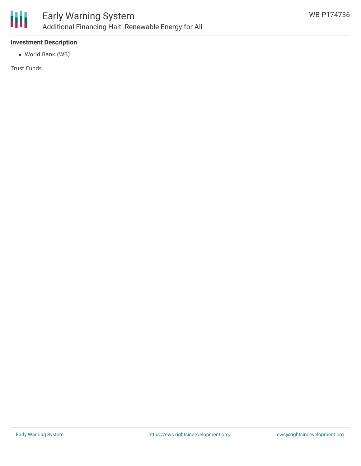

## **Investment Description**

World Bank (WB)

Trust Funds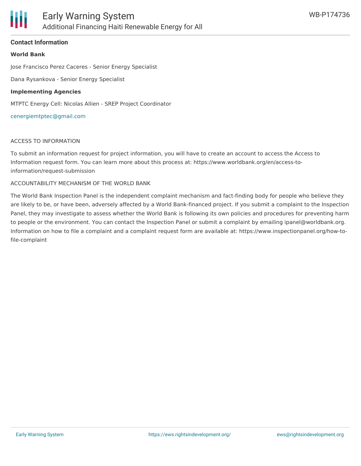

### **Contact Information**

#### **World Bank**

Jose Francisco Perez Caceres - Senior Energy Specialist

Dana Rysankova - Senior Energy Specialist

#### **Implementing Agencies**

MTPTC Energy Cell: Nicolas Allien - SREP Project Coordinator

#### [cenergiemtptec@gmail.com](mailto:cenergiemtptec@gmail.com)

#### ACCESS TO INFORMATION

To submit an information request for project information, you will have to create an account to access the Access to Information request form. You can learn more about this process at: https://www.worldbank.org/en/access-toinformation/request-submission

#### ACCOUNTABILITY MECHANISM OF THE WORLD BANK

The World Bank Inspection Panel is the independent complaint mechanism and fact-finding body for people who believe they are likely to be, or have been, adversely affected by a World Bank-financed project. If you submit a complaint to the Inspection Panel, they may investigate to assess whether the World Bank is following its own policies and procedures for preventing harm to people or the environment. You can contact the Inspection Panel or submit a complaint by emailing ipanel@worldbank.org. Information on how to file a complaint and a complaint request form are available at: https://www.inspectionpanel.org/how-tofile-complaint